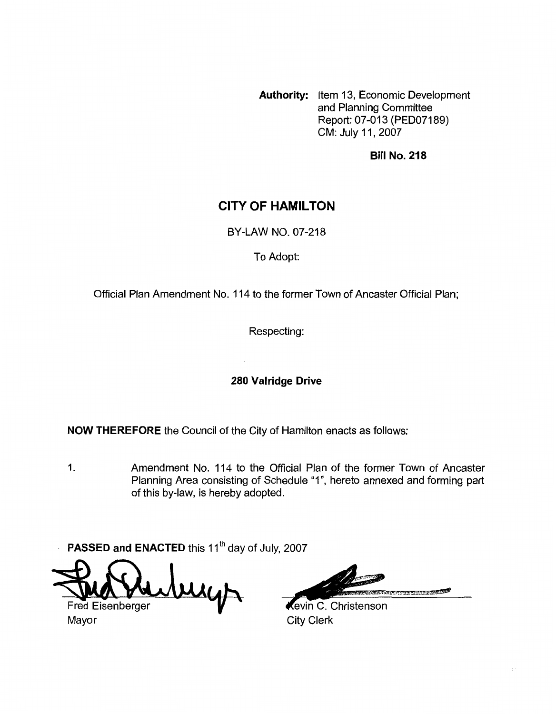**Authority:** Item 13, Economic Development and Planning Committee Report: 07-013 (PED07189) CM: July 11,2007

**Bill No. 218** 

# **CITY OF HAMILTON**

BY-LAW NO. 07-218

To Adopt:

Official Plan Amendment No. 114 to the former Town of Ancaster Official Plan;

Respecting:

## **280 Valridge Drive**

**NOW THEREFORE** the Council of the City of Hamilton enacts as follows:

1. Amendment No. 114 to the Official Plan of the former Town of Ancaster Planning Area consisting of Schedule **Y",** hereto annexed and forming part of this by-law, is hereby adopted.

**PASSED and ENACTED** this 11<sup>th</sup> day of July, 2007  $\ddot{\phantom{a}}$ 

Fred Eisenberger

Mayor **City Clerk** 

**Controller State Library Property** 

tevin C. Christenson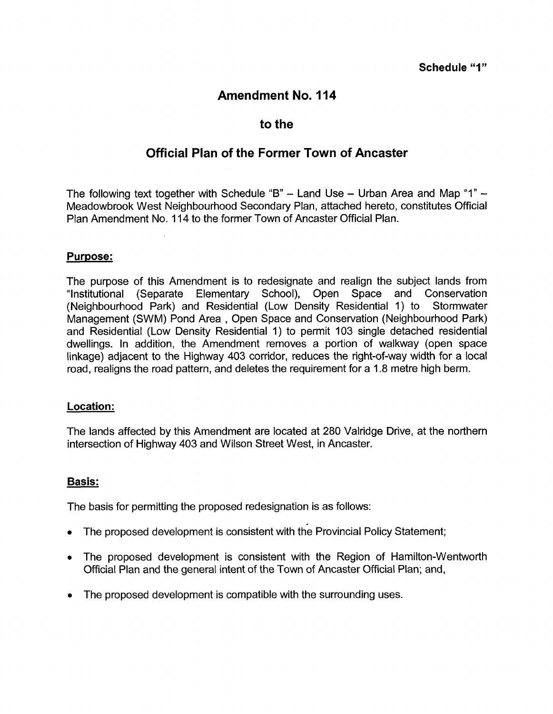# **Amendment No. 114**

## **to the**

# **Official Plan of the Former Town of Ancaster**

The following text together with Schedule **"B"** - Land Use - Urban Area and Map "I" - Meadowbrook West Neighbourhood Secondary Plan, attached hereto, constitutes Official Plan Amendment No. 1 14 to the former Town of Ancaster Official Plan.

#### **Purpose:**

The purpose of this Amendment is to redesignate and realign the subject lands from "Institutional (Separate Elementary School), Open Space and Conservation (Neighbourhood Park) and Residential (Low Density Residential 1) to Stormwater Management (SWM) Pond Area , Open Space and Conservation (Neighbourhood Park) and Residential (Low Density Residential 1) to permit 103 single detached residential dwellings. In addition, the Amendment removes a portion of walkway (open space linkage) adjacent to the Highway 403 corridor, reduces the right-of-way width for a local road, realigns the road pattern, and deletes the requirement for a 1.8 metre high berm.

#### **Location:**

The lands affected by this Amendment are located at 280 Valridge Drive, at the northern intersection of Highway 403 and Wilson Street West, in Ancaster.

## **Basis:**

The basis for permitting the proposed redesignation is as follows:

- The proposed development is consistent with the Provincial Policy Statement;
- *<sup>0</sup>*The proposed development is consistent with the Region of Hamilton-Wentworth Official Plan and the general intent of the Town of Ancaster Official Plan; and,
- The proposed development is compatible with the surrounding uses.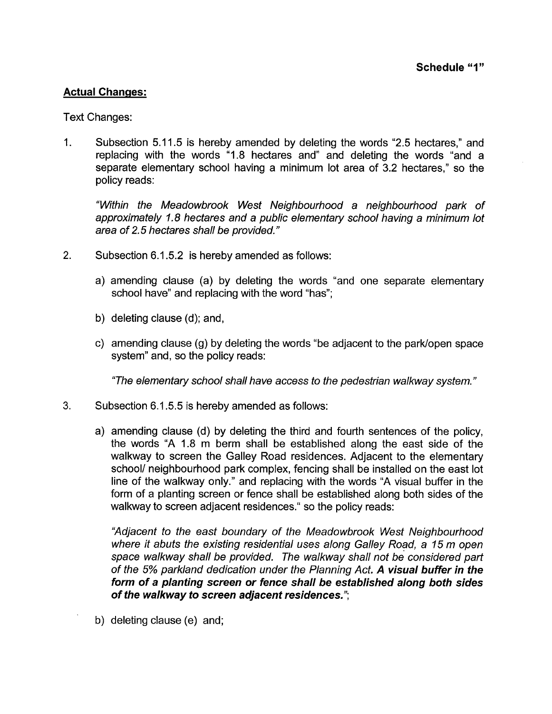## **Actual Changes:**

Text Changes:

1. Subsection 5.1 1.5 is hereby amended by deleting the words "2.5 hectares," and replacing with the words "1.8 hectares and" and deleting the words "and a separate elementary school having a minimum lot area of 3.2 hectares," so the policy reads:

*"Within the Meadowbrook West Neighbourhood a neighbourhood park of approximately 1.8 hectares and a public elementary school having a minimum lot area of 2.5 hectares shall be provided."* 

- 2. Subsection 6.1 **5.2** is hereby amended as follows:
	- a) amending clause (a) by deleting the words "and one separate elementary school have" and replacing with the word "has";
	- b) deleting clause (d); and,
	- c) amending clause (9) by deleting the words "be adjacent to the parklopen space system" and, so the policy reads:

*"The elementary school shall have access to the pedestrian walkway system.* "

- **3.** Subsection 6.1 *5.5* is hereby amended as follows:
	- a) amending clause (d) by deleting the third and fourth sentences of the policy, the words "A 1.8 m berm shall be established along the east side of the walkway to screen the Galley Road residences. Adjacent to the elementary school/ neighbourhood park complex, fencing shall be installed on the east lot line of the walkway only." and replacing with the words "A visual buffer in the form of a planting screen or fence shall be established along both sides of the walkway to screen adjacent residences." so the policy reads:

*"Adjacent to the east boundary of the Meadowbrook West Neighbourhood where it abuts the existing residential uses along Galley Road, a 15 m open space walkway shall be provided. The walkway shall not be considered part of the 5% parkland dedication under the Planning Act. A visual buffer in the form of a planting screen or fence shall be established along both sides of the walkway to screen adjacent residences.* ";

b) deleting clause (e) and;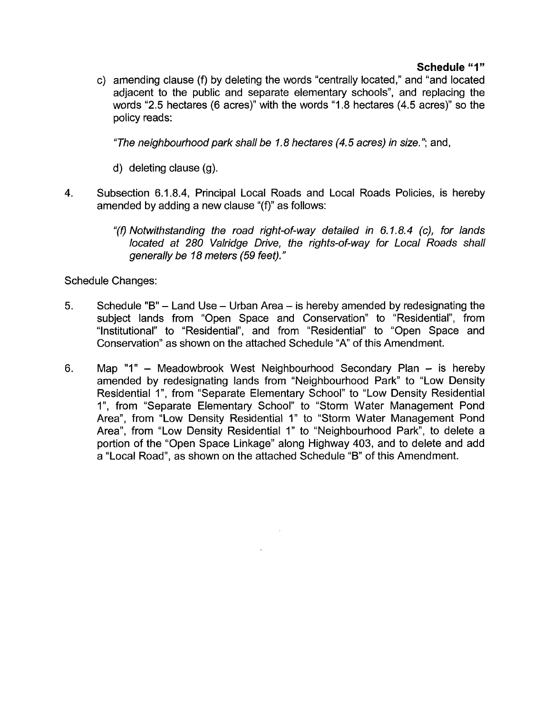## **Schedule "1"**

c) amending clause (f) by deleting the words "centrally located," and "and located adjacent to the public and separate elementary schools", and replacing the words "2.5 hectares (6 acres)" with the words "1.8 hectares (4.5 acres)" so the policy reads:

*"The neighbourhood park shall be I. 8 hectares (4.5 acres) in size.* "; and,

- d) deleting clause (g).
- 4. Subsection 6.1.8.4, Principal Local Roads and Local Roads Policies, is hereby amended by adding a new clause "(f)" as follows:
	- "(0 *Notwithstanding the road right-of-way detailed in 6. I. 8.4 (c), for lands located at 280 Valridge Drive, the rights-of-way for Local Roads shall generally be 18 meters (59 feet)."*

Schedule Changes:

- **5.** Schedule "B" Land Use Urban Area is hereby amended by redesignating the subject lands from "Open Space and Conservation" to "Residential", from "Institutional" to "Residential", and from "Residential" to "Open Space and Conservation" as shown on the attached Schedule "A" of this Amendment.
- **6.** Map "I" -Meadowbrook West Neighbourhood Secondary Plan is hereby amended by redesignating lands from "Neighbourhood Park" to "Low Density Residential 1", from "Separate Elementary School" to "Low Density Residential I", from "Separate Elementary School" to "Storm Water Management Pond Area", from "Low Density Residential 1" to "Storm Water Management Pond Area", from "Low Density Residential 1" to "Neighbourhood Park", to delete a portion of the "Open Space Linkage" along Highway 403, and to delete and add a "Local Road", as shown on the attached Schedule "B" of this Amendment.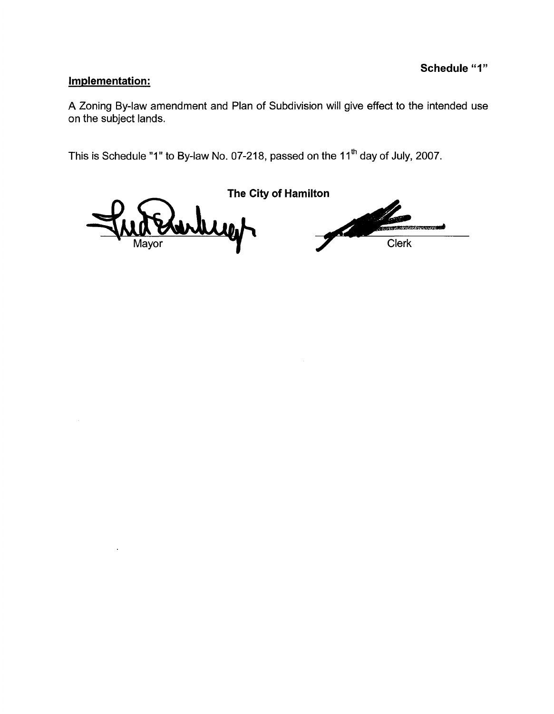## **Implementation:**

A Zoning By-law amendment and Plan of Subdivision will give effect to the intended use on the subject lands.

This is Schedule "1" to By-law No. 07-218, passed on the 11<sup>th</sup> day of July, 2007.

**The City of Hamilton** .<br>Martin Lewis Clerk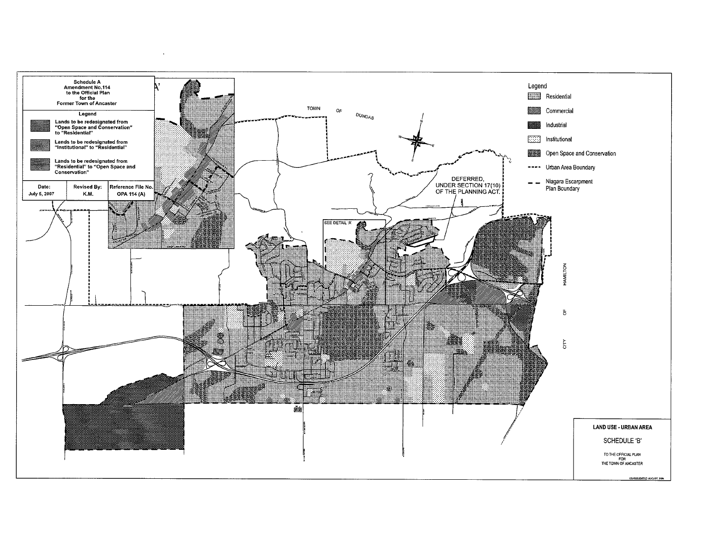